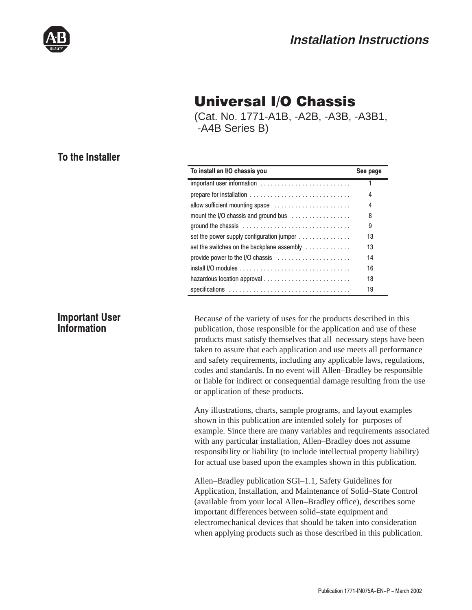

# **Universal I/O Chassis**

(Cat. No. 1771-A1B, -A2B, -A3B, -A3B1, -A4B Series B)

# To the Installer

| To install an I/O chassis you                                                       | See page |
|-------------------------------------------------------------------------------------|----------|
| important user information                                                          |          |
|                                                                                     | 4        |
| allow sufficient mounting space                                                     | 4        |
| mount the I/O chassis and ground bus                                                | 8        |
| ground the chassis $\ldots \ldots \ldots \ldots \ldots \ldots \ldots \ldots \ldots$ | 9        |
| set the power supply configuration jumper                                           | 13       |
| set the switches on the backplane assembly                                          | 13       |
| provide power to the I/O chassis                                                    | 14       |
|                                                                                     | 16       |
|                                                                                     | 18       |
|                                                                                     | 19       |

## **Important User** Information

Because of the variety of uses for the products described in this publication, those responsible for the application and use of these products must satisfy themselves that all necessary steps have been taken to assure that each application and use meets all performance and safety requirements, including any applicable laws, regulations, codes and standards. In no event will Allen–Bradley be responsible or liable for indirect or consequential damage resulting from the use or application of these products.

Any illustrations, charts, sample programs, and layout examples shown in this publication are intended solely for purposes of example. Since there are many variables and requirements associated with any particular installation, Allen–Bradley does not assume responsibility or liability (to include intellectual property liability) for actual use based upon the examples shown in this publication.

Allen–Bradley publication SGI–1.1, Safety Guidelines for Application, Installation, and Maintenance of Solid–State Control (available from your local Allen–Bradley office), describes some important differences between solid–state equipment and electromechanical devices that should be taken into consideration when applying products such as those described in this publication.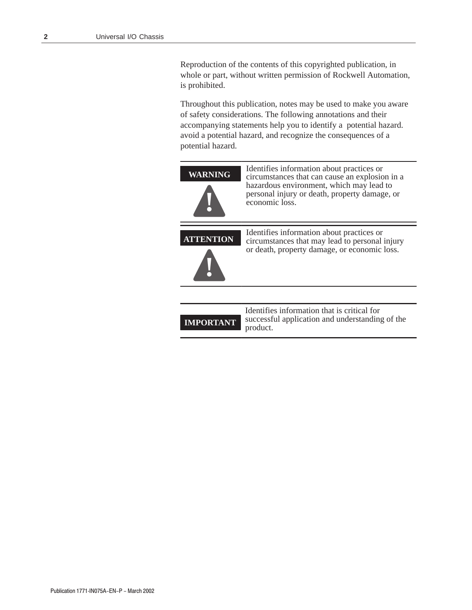Reproduction of the contents of this copyrighted publication, in whole or part, without written permission of Rockwell Automation, is prohibited.

Throughout this publication, notes may be used to make you aware of safety considerations. The following annotations and their accompanying statements help you to identify a potential hazard. avoid a potential hazard, and recognize the consequences of a potential hazard.

| <b>WARNING</b>   | Identifies information about practices or<br>circumstances that can cause an explosion in a<br>hazardous environment, which may lead to<br>personal injury or death, property damage, or<br>economic loss. |
|------------------|------------------------------------------------------------------------------------------------------------------------------------------------------------------------------------------------------------|
| <b>ATTENTION</b> | Identifies information about practices or<br>circumstances that may lead to personal injury<br>or death, property damage, or economic loss.                                                                |
|                  | Identifies information that is critical for                                                                                                                                                                |

**IMPORTANT**

Identifies information that is critical for successful application and understanding of the product.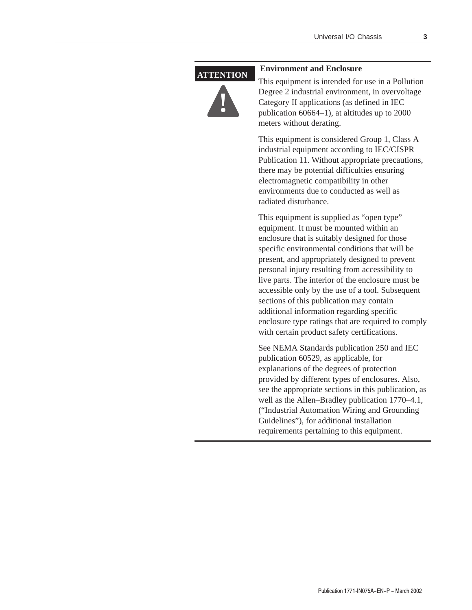#### **ATTENTION**



#### **Environment and Enclosure**

This equipment is intended for use in a Pollution Degree 2 industrial environment, in overvoltage Category II applications (as defined in IEC publication 60664–1), at altitudes up to 2000 meters without derating.

This equipment is considered Group 1, Class A industrial equipment according to IEC/CISPR Publication 11. Without appropriate precautions, there may be potential difficulties ensuring electromagnetic compatibility in other environments due to conducted as well as radiated disturbance.

This equipment is supplied as "open type" equipment. It must be mounted within an enclosure that is suitably designed for those specific environmental conditions that will be present, and appropriately designed to prevent personal injury resulting from accessibility to live parts. The interior of the enclosure must be accessible only by the use of a tool. Subsequent sections of this publication may contain additional information regarding specific enclosure type ratings that are required to comply with certain product safety certifications.

See NEMA Standards publication 250 and IEC publication 60529, as applicable, for explanations of the degrees of protection provided by different types of enclosures. Also, see the appropriate sections in this publication, as well as the Allen–Bradley publication 1770–4.1, ("Industrial Automation Wiring and Grounding Guidelines"), for additional installation requirements pertaining to this equipment.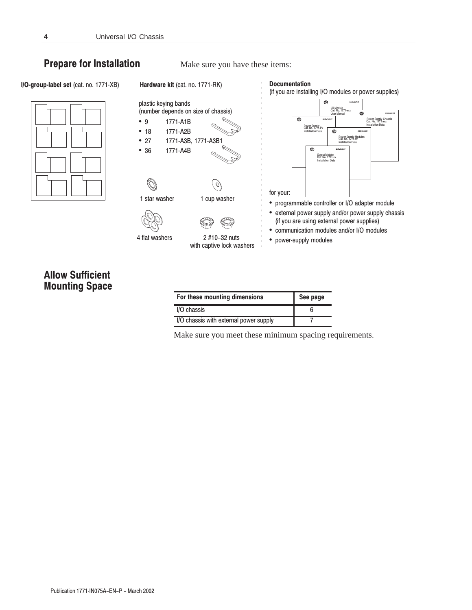## **Prepare for Installation**

Make sure you have these items:



# **Allow Sufficient Mounting Space**

| For these mounting dimensions          | See page |
|----------------------------------------|----------|
| I/O chassis                            |          |
| I/O chassis with external power supply |          |

Make sure you meet these minimum spacing requirements.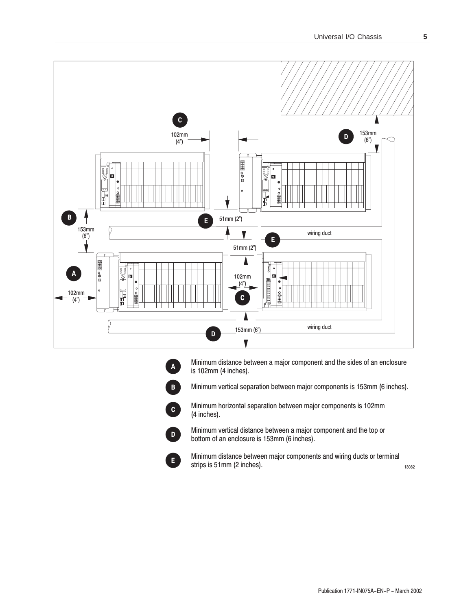



 $\mathbf{B}$ 

 $\mathbf{c}$ 

Minimum distance between a major component and the sides of an enclosure is 102mm (4 inches).

Minimum vertical separation between major components is 153mm (6 inches).

Minimum horizontal separation between major components is 102mm (4 inches).



Minimum vertical distance between a major component and the top or bottom of an enclosure is 153mm (6 inches).



13082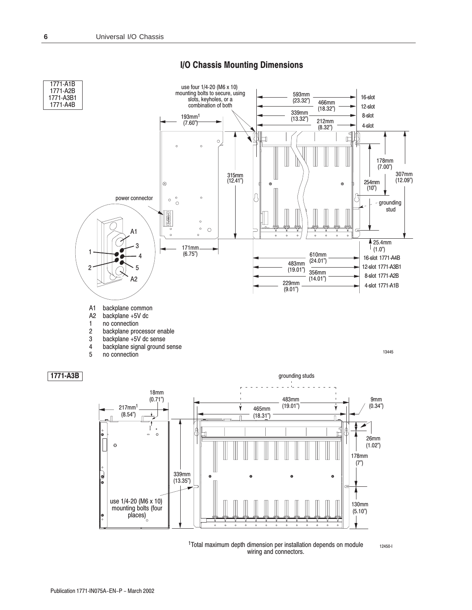

#### I/O Chassis Mounting Dimensions

<sup>1</sup>Total maximum depth dimension per installation depends on module  $12450 - 1$ wiring and connectors.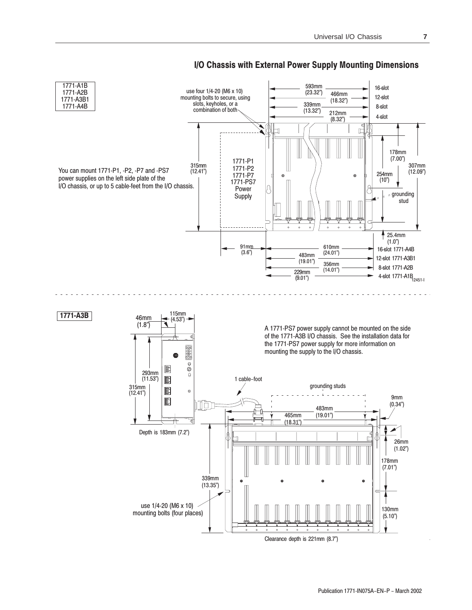

### I/O Chassis with External Power Supply Mounting Dimensions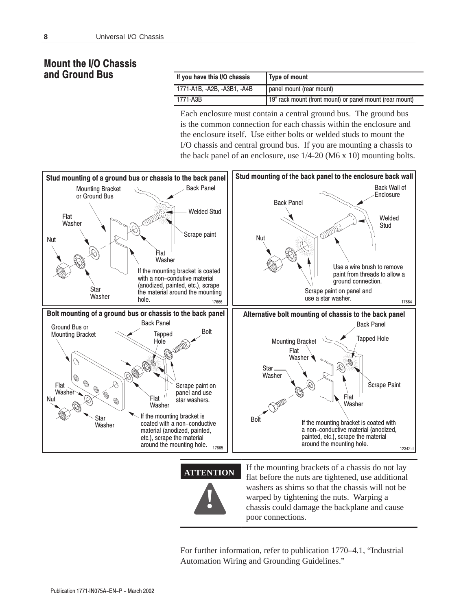## **Mount the I/O Chassis** and Ground Bus

| If you have this I/O chassis | Type of mount                                            |
|------------------------------|----------------------------------------------------------|
| 1771-A1B, -A2B, -A3B1, -A4B  | panel mount (rear mount)                                 |
| 1771-A3B                     | 19" rack mount (front mount) or panel mount (rear mount) |

Each enclosure must contain a central ground bus. The ground bus is the common connection for each chassis within the enclosure and the enclosure itself. Use either bolts or welded studs to mount the I/O chassis and central ground bus. If you are mounting a chassis to the back panel of an enclosure, use  $1/4-20$  (M6 x 10) mounting bolts.





For further information, refer to publication 1770–4.1, "Industrial Automation Wiring and Grounding Guidelines."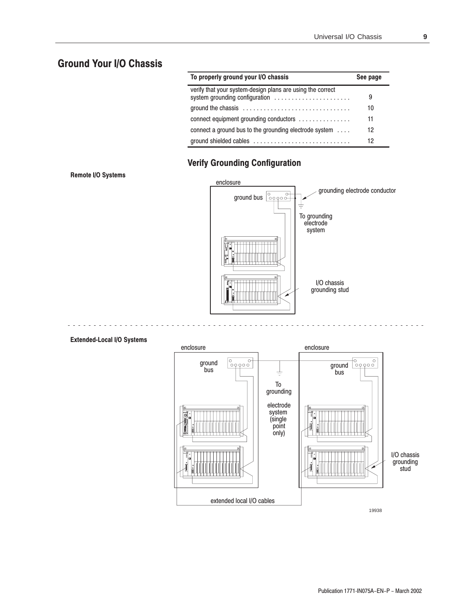# **Ground Your I/O Chassis**

| To properly ground your I/O chassis                            | See page |
|----------------------------------------------------------------|----------|
| verify that your system-design plans are using the correct     | 9        |
|                                                                | 10       |
| connect equipment grounding conductors                         | 11       |
| connect a ground bus to the grounding electrode system $\dots$ | 12       |
| ground shielded cables                                         | 12       |

# **Verify Grounding Configuration**

Remote I/O Systems



#### **Extended-Local I/O Systems**

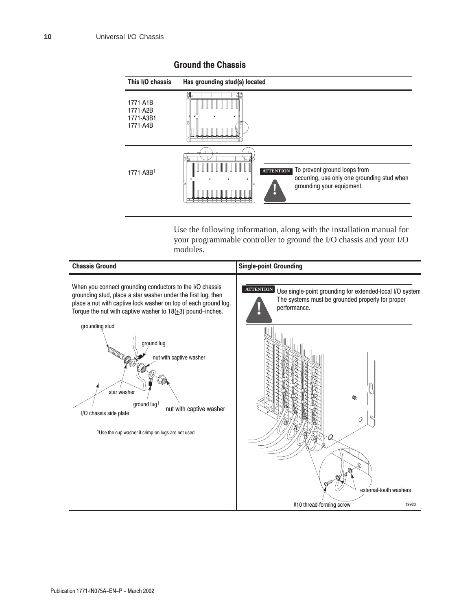### Has grounding stud(s) located This I/O chassis ⊺ ਜੀ  $\top$ 1771-A1B 1771-A2B 1771-A3B1 1771-A4B To prevent ground loops from **ATTENTION** 1771-A3B<sup>1</sup> occurring, use only one grounding stud when grounding your equipment.

Use the following information, along with the installation manual for your programmable controller to ground the I/O chassis and your I/O modules.



#### **Ground the Chassis**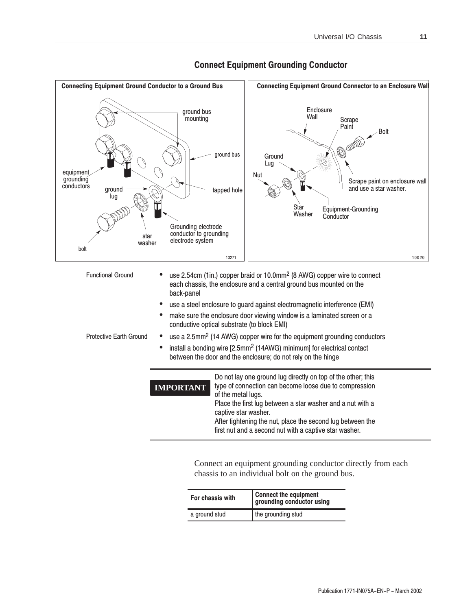

**Connect Equipment Grounding Conductor** 

Connect an equipment grounding conductor directly from each chassis to an individual bolt on the ground bus.

| For chassis with | Connect the equipment<br>grounding conductor using |  |
|------------------|----------------------------------------------------|--|
| a ground stud    | the grounding stud                                 |  |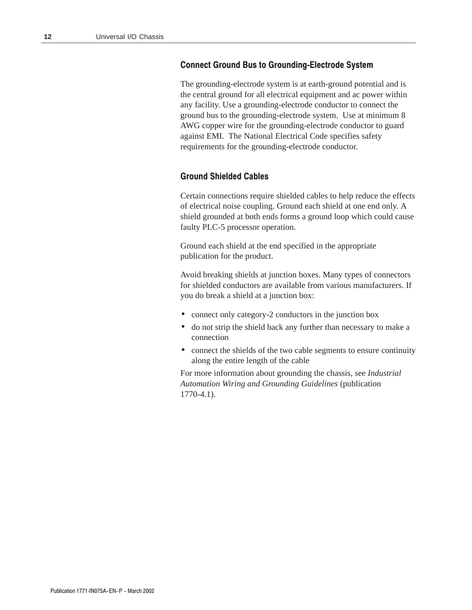#### **Connect Ground Bus to Grounding-Electrode System**

The grounding-electrode system is at earth-ground potential and is the central ground for all electrical equipment and ac power within any facility. Use a grounding-electrode conductor to connect the ground bus to the grounding-electrode system. Use at minimum 8 AWG copper wire for the grounding-electrode conductor to guard against EMI. The National Electrical Code specifies safety requirements for the grounding-electrode conductor.

#### **Ground Shielded Cables**

Certain connections require shielded cables to help reduce the effects of electrical noise coupling. Ground each shield at one end only. A shield grounded at both ends forms a ground loop which could cause faulty PLC-5 processor operation.

Ground each shield at the end specified in the appropriate publication for the product.

Avoid breaking shields at junction boxes. Many types of connectors for shielded conductors are available from various manufacturers. If you do break a shield at a junction box:

- connect only category-2 conductors in the junction box
- do not strip the shield back any further than necessary to make a connection
- connect the shields of the two cable segments to ensure continuity along the entire length of the cable

For more information about grounding the chassis, see *Industrial Automation Wiring and Grounding Guidelines* (publication 1770-4.1).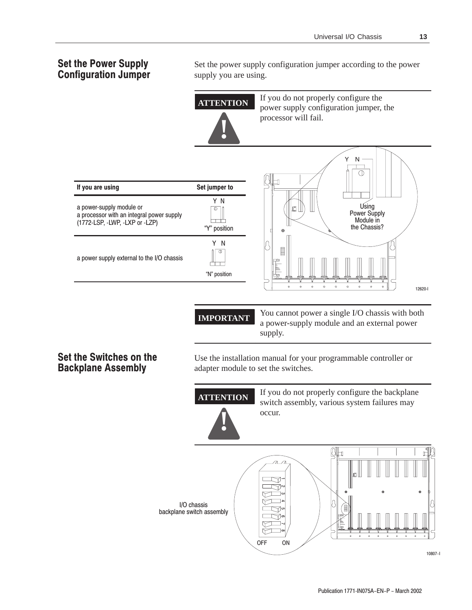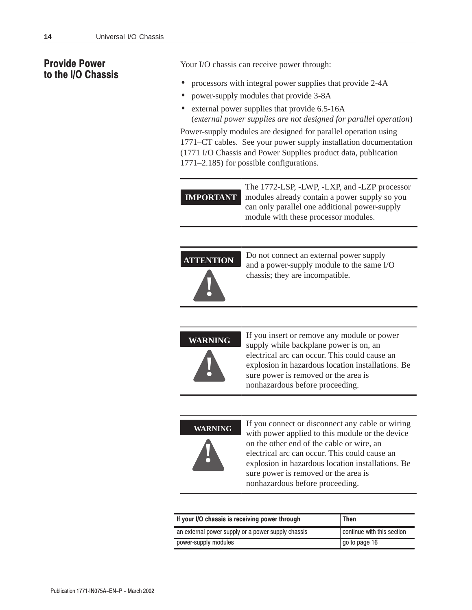## **Provide Power** to the I/O Chassis

Your I/O chassis can receive power through:

- processors with integral power supplies that provide 2-4A
- power-supply modules that provide 3-8A
- external power supplies that provide 6.5-16A (*external power supplies are not designed for parallel operation*)

Power-supply modules are designed for parallel operation using 1771–CT cables. See your power supply installation documentation (1771 I/O Chassis and Power Supplies product data, publication 1771–2.185) for possible configurations.

```
IMPORTANT
    The 1772-LSP, -LWP, -LXP, and -LZP processor
    modules already contain a power supply so you
    can only parallel one additional power-supply
    module with these processor modules.
```
**ATTENTION !**

Do not connect an external power supply and a power-supply module to the same I/O chassis; they are incompatible.



If you insert or remove any module or power supply while backplane power is on, an electrical arc can occur. This could cause an explosion in hazardous location installations. Be sure power is removed or the area is nonhazardous before proceeding.

**!**

**WARNING** If you connect or disconnect any cable or wiring with power applied to this module or the device on the other end of the cable or wire, an electrical arc can occur. This could cause an explosion in hazardous location installations. Be sure power is removed or the area is nonhazardous before proceeding.

| If your I/O chassis is receiving power through     | Then                       |
|----------------------------------------------------|----------------------------|
| an external power supply or a power supply chassis | continue with this section |
| power-supply modules                               | go to page 16              |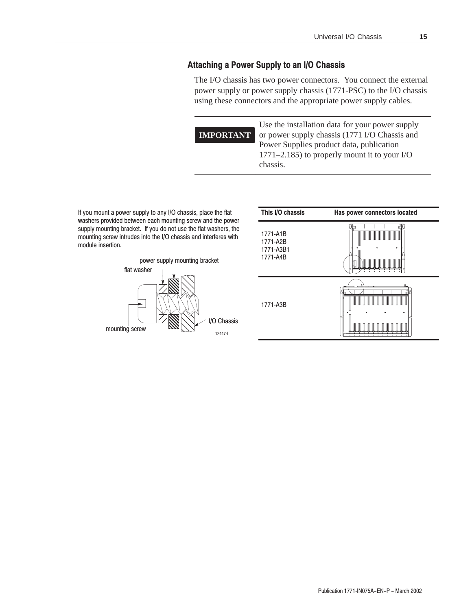#### Attaching a Power Supply to an I/O Chassis

The I/O chassis has two power connectors. You connect the external power supply or power supply chassis (1771-PSC) to the I/O chassis using these connectors and the appropriate power supply cables.

**IMPORTANT**

Use the installation data for your power supply or power supply chassis (1771 I/O Chassis and Power Supplies product data, publication 1771–2.185) to properly mount it to your I/O chassis.

If you mount a power supply to any I/O chassis, place the flat washers provided between each mounting screw and the power washers provided between each mounting screw and the power<br>supply mounting bracket. If you do not use the flat washers, the mounting screw intrudes into the I/O chassis and interferes with module insertion.



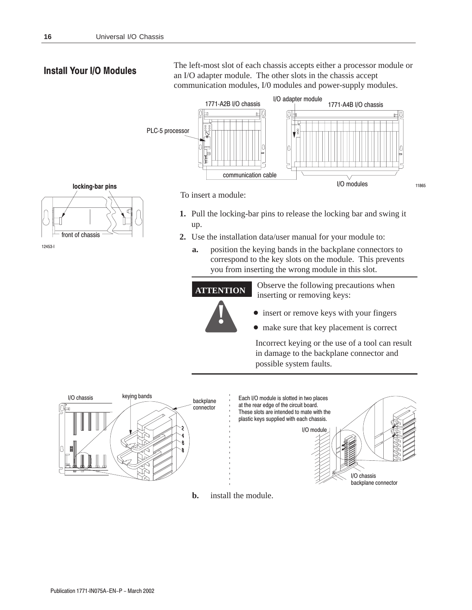### **Install Your I/O Modules**

The left-most slot of each chassis accepts either a processor module or an I/O adapter module. The other slots in the chassis accept communication modules, I/0 modules and power-supply modules.



locking-bar pins front of chassis

To insert a module:

- 1. Pull the locking-bar pins to release the locking bar and swing it up.
- 2. Use the installation data/user manual for your module to:
	- position the keying bands in the backplane connectors to a. correspond to the key slots on the module. This prevents you from inserting the wrong module in this slot.

Observe the following precautions when **ATTENTION** inserting or removing keys:



• make sure that key placement is correct

Incorrect keying or the use of a tool can result in damage to the backplane connector and possible system faults.



install the module.  $\mathbf{b}$ .

12453-l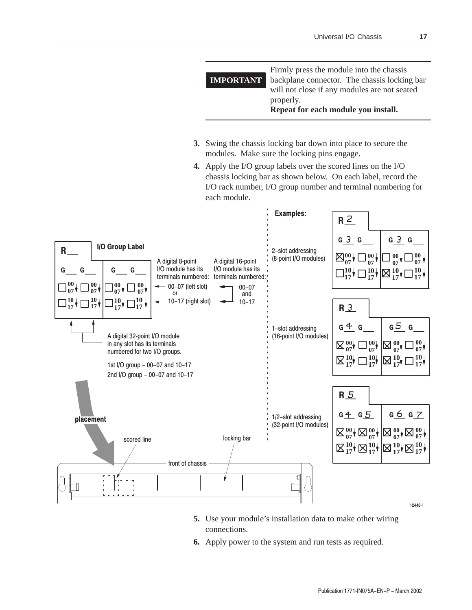

scored line scored line scored line

placement

front of chassis

12448-l

**10 17**

**00 07**

**5.** Use your module's installation data to make other wiring connections.

'n

1/2-slot addressing (32-point I/O modules)

**6.** Apply power to the system and run tests as required.

 $G_4$   $G_5$  |  $G_6$   $G_7$ 

**10 17**

**00 07**

**10 17**

**00 07**

**10 17**

**00 07**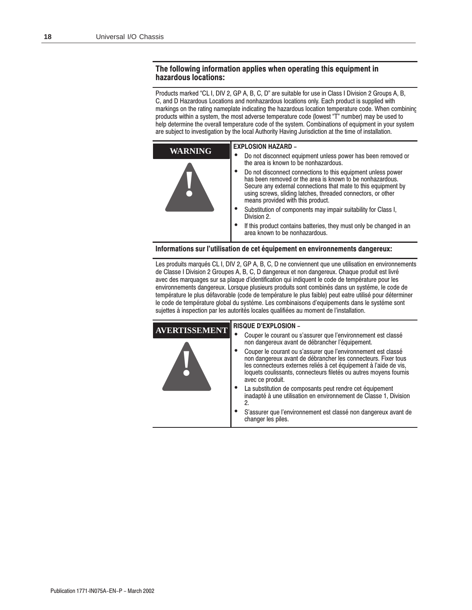#### The following information applies when operating this equipment in hazardous locations:

Products marked "CL I, DIV 2, GP A, B, C, D" are suitable for use in Class I Division 2 Groups A, B, C, and D Hazardous Locations and nonhazardous locations only. Each product is supplied with markings on the rating nameplate indicating the hazardous location temperature code. When combining products within a system, the most adverse temperature code (lowest "T" number) may be used to help determine the overall temperature code of the system. Combinations of equipment in your system are subject to investigation by the local Authority Having Jurisdiction at the time of installation.

| <b>WARNING</b> | <b>EXPLOSION HAZARD -</b>                                                                                                                                                                                                                                                                        |  |  |  |
|----------------|--------------------------------------------------------------------------------------------------------------------------------------------------------------------------------------------------------------------------------------------------------------------------------------------------|--|--|--|
|                | Do not disconnect equipment unless power has been removed or<br>the area is known to be nonhazardous.                                                                                                                                                                                            |  |  |  |
|                | Do not disconnect connections to this equipment unless power<br>has been removed or the area is known to be nonhazardous.<br>Secure any external connections that mate to this equipment by<br>using screws, sliding latches, threaded connectors, or other<br>means provided with this product. |  |  |  |
|                | Substitution of components may impair suitability for Class I.<br>Division 2.                                                                                                                                                                                                                    |  |  |  |
|                | If this product contains batteries, they must only be changed in an<br>area known to be nonhazardous.                                                                                                                                                                                            |  |  |  |

#### Informations sur l'utilisation de cet équipement en environnements dangereux:

Les produits marqués CL I, DIV 2, GP A, B, C, D ne conviennent que une utilisation en environnements de Classe I Division 2 Groupes A, B, C, D dangereux et non dangereux. Chaque produit est livré avec des marquages sur sa plaque d'identification qui indiquent le code de température pour les environnements dangereux. Lorsque plusieurs produits sont combinés dans un systéme, le code de température le plus défavorable (code de température le plus faible) peut eatre utilisé pour déterminer le code de température global du systéme. Les combinaisons d'equipements dans le systéme sont sujettes à inspection par les autorités locales qualifiées au moment de l'installation.

| <b>AVERTISSEMENT</b> | <b>RISQUE D'EXPLOSION -</b>                                                                                                                                                                                                                                                                  |  |  |  |  |
|----------------------|----------------------------------------------------------------------------------------------------------------------------------------------------------------------------------------------------------------------------------------------------------------------------------------------|--|--|--|--|
|                      | Couper le courant ou s'assurer que l'environnement est classé<br>non dangereux avant de débrancher l'équipement.                                                                                                                                                                             |  |  |  |  |
|                      | Couper le courant ou s'assurer que l'environnement est classé<br>non dangereux avant de débrancher les connecteurs. Fixer tous<br>les connecteurs externes reliés à cet équipement à l'aide de vis,<br>loquets coulissants, connecteurs filetés ou autres moyens fournis<br>avec ce produit. |  |  |  |  |
|                      | La substitution de composants peut rendre cet équipement<br>inadapté à une utilisation en environnement de Classe 1, Division<br>2.                                                                                                                                                          |  |  |  |  |
|                      | S'assurer que l'environnement est classé non dangereux avant de<br>changer les piles.                                                                                                                                                                                                        |  |  |  |  |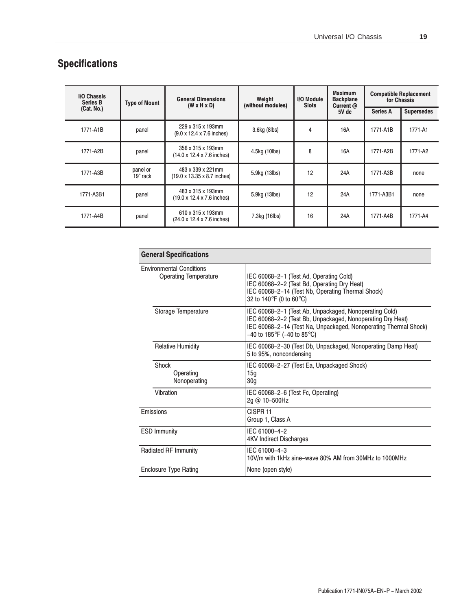# **Specifications**

| <b>I/O Chassis</b><br><b>Series B</b> | <b>Type of Mount</b> | <b>General Dimensions</b><br>$(W \times H \times D)$          | I/O Module<br>Weight<br>(without modules)<br><b>Slots</b> | <b>Maximum</b><br><b>Backplane</b><br>Current @ | <b>Compatible Replacement</b><br>for Chassis |                 |                   |
|---------------------------------------|----------------------|---------------------------------------------------------------|-----------------------------------------------------------|-------------------------------------------------|----------------------------------------------|-----------------|-------------------|
| (Cat. No.)                            |                      |                                                               |                                                           |                                                 | 5V dc                                        | <b>Series A</b> | <b>Supersedes</b> |
| 1771-A1B                              | panel                | 229 x 315 x 193mm<br>$(9.0 \times 12.4 \times 7.6)$ inches)   | 3.6kg (8lbs)                                              | 4                                               | 16A                                          | 1771-A1B        | 1771-A1           |
| 1771-A2B                              | panel                | 356 x 315 x 193mm<br>$(14.0 \times 12.4 \times 7.6)$ inches)  | 4.5kg (10lbs)                                             | 8                                               | 16A                                          | 1771-A2B        | 1771-A2           |
| 1771-A3B                              | panel or<br>19" rack | 483 x 339 x 221mm<br>$(19.0 \times 13.35 \times 8.7)$ inches) | 5.9kg (13lbs)                                             | 12                                              | 24A                                          | 1771-A3B        | none              |
| 1771-A3B1                             | panel                | 483 x 315 x 193mm<br>$(19.0 \times 12.4 \times 7.6)$ inches)  | 5.9kg (13lbs)                                             | 12                                              | 24A                                          | 1771-A3B1       | none              |
| 1771-A4B                              | panel                | 610 x 315 x 193mm<br>(24.0 x 12.4 x 7.6 inches)               | 7.3kg (16lbs)                                             | 16                                              | 24A                                          | 1771-A4B        | 1771-A4           |

| <b>General Specifications</b>                                   |                                                                                                                                                                                                                          |
|-----------------------------------------------------------------|--------------------------------------------------------------------------------------------------------------------------------------------------------------------------------------------------------------------------|
| <b>Environmental Conditions</b><br><b>Operating Temperature</b> | IEC 60068-2-1 (Test Ad, Operating Cold)<br>IEC 60068-2-2 (Test Bd, Operating Dry Heat)<br>IEC 60068-2-14 (Test Nb, Operating Thermal Shock)<br>32 to 140°F (0 to 60°C)                                                   |
| Storage Temperature                                             | IEC 60068-2-1 (Test Ab, Unpackaged, Nonoperating Cold)<br>IEC 60068-2-2 (Test Bb, Unpackaged, Nonoperating Dry Heat)<br>IEC 60068-2-14 (Test Na, Unpackaged, Nonoperating Thermal Shock)<br>$-40$ to 185°F (-40 to 85°C) |
| <b>Relative Humidity</b>                                        | IEC 60068-2-30 (Test Db, Unpackaged, Nonoperating Damp Heat)<br>5 to 95%, noncondensing                                                                                                                                  |
| Shock<br>Operating<br>Nonoperating                              | IEC 60068-2-27 (Test Ea, Unpackaged Shock)<br>15 <sub>q</sub><br>30 <sub>q</sub>                                                                                                                                         |
| Vibration                                                       | IEC 60068-2-6 (Test Fc, Operating)<br>2g @ 10-500Hz                                                                                                                                                                      |
| Emissions                                                       | CISPR <sub>11</sub><br>Group 1, Class A                                                                                                                                                                                  |
| <b>ESD Immunity</b>                                             | IEC 61000-4-2<br><b>4KV Indirect Discharges</b>                                                                                                                                                                          |
| <b>Radiated RF Immunity</b>                                     | IEC 61000-4-3<br>10V/m with 1kHz sine-wave 80% AM from 30MHz to 1000MHz                                                                                                                                                  |
| <b>Enclosure Type Rating</b>                                    | None (open style)                                                                                                                                                                                                        |